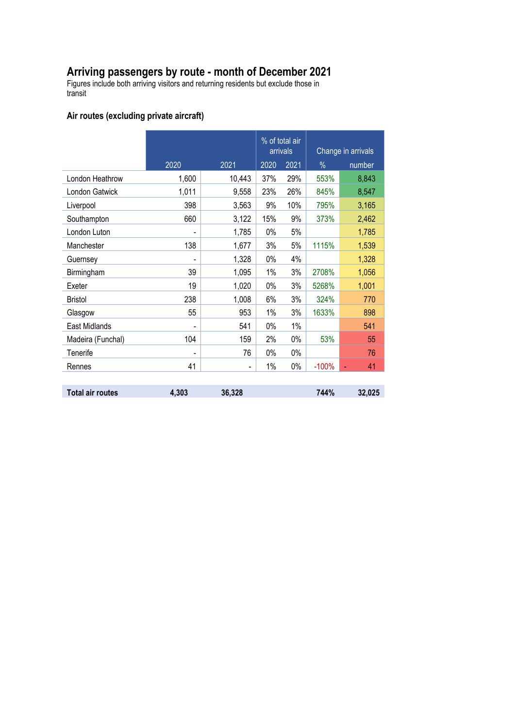## **Arriving passengers by route - month of December 2021**

Figures include both arriving visitors and returning residents but exclude those in transit

## **Air routes (excluding private aircraft)**

|                         |       |        | % of total air<br>arrivals |       | Change in arrivals |        |
|-------------------------|-------|--------|----------------------------|-------|--------------------|--------|
|                         | 2020  | 2021   | 2020                       | 2021  | $\frac{0}{0}$      | number |
| London Heathrow         | 1,600 | 10,443 | 37%                        | 29%   | 553%               | 8,843  |
| London Gatwick          | 1,011 | 9,558  | 23%                        | 26%   | 845%               | 8,547  |
| Liverpool               | 398   | 3,563  | 9%                         | 10%   | 795%               | 3,165  |
| Southampton             | 660   | 3,122  | 15%                        | 9%    | 373%               | 2,462  |
| London Luton            |       | 1,785  | 0%                         | 5%    |                    | 1,785  |
| Manchester              | 138   | 1,677  | 3%                         | 5%    | 1115%              | 1,539  |
| Guernsey                |       | 1,328  | 0%                         | 4%    |                    | 1,328  |
| Birmingham              | 39    | 1,095  | $1\%$                      | 3%    | 2708%              | 1,056  |
| Exeter                  | 19    | 1,020  | 0%                         | 3%    | 5268%              | 1,001  |
| <b>Bristol</b>          | 238   | 1,008  | 6%                         | 3%    | 324%               | 770    |
| Glasgow                 | 55    | 953    | 1%                         | 3%    | 1633%              | 898    |
| East Midlands           |       | 541    | 0%                         | $1\%$ |                    | 541    |
| Madeira (Funchal)       | 104   | 159    | 2%                         | $0\%$ | 53%                | 55     |
| Tenerife                |       | 76     | 0%                         | $0\%$ |                    | 76     |
| Rennes                  | 41    |        | $1\%$                      | $0\%$ | $-100%$            | 41     |
|                         |       |        |                            |       |                    |        |
| <b>Total air routes</b> | 4,303 | 36,328 |                            |       | 744%               | 32,025 |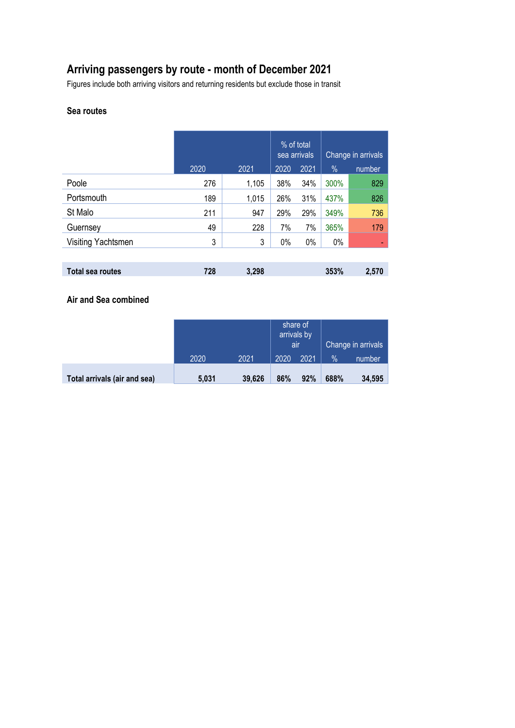# **Arriving passengers by route - month of December 2021**

Figures include both arriving visitors and returning residents but exclude those in transit

#### **Sea routes**

|                         |      |       | % of total<br>sea arrivals |      | Change in arrivals |        |
|-------------------------|------|-------|----------------------------|------|--------------------|--------|
|                         | 2020 | 2021  | 2020                       | 2021 | %                  | number |
| Poole                   | 276  | 1,105 | 38%                        | 34%  | 300%               | 829    |
| Portsmouth              | 189  | 1,015 | 26%                        | 31%  | 437%               | 826    |
| St Malo                 | 211  | 947   | 29%                        | 29%  | 349%               | 736    |
| Guernsey                | 49   | 228   | 7%                         | 7%   | 365%               | 179    |
| Visiting Yachtsmen      | 3    | 3     | 0%                         | 0%   | $0\%$              | ٠      |
|                         |      |       |                            |      |                    |        |
| <b>Total sea routes</b> | 728  | 3,298 |                            |      | 353%               | 2,570  |

**Air and Sea combined**

|                              |       |        | share of<br>arrivals by<br>air |      | Change in arrivals |        |
|------------------------------|-------|--------|--------------------------------|------|--------------------|--------|
|                              | 2020  | 2021   | 2020                           | 2021 | $\%$               | number |
| Total arrivals (air and sea) | 5,031 | 39,626 | 86%                            | 92%  | 688%               | 34,595 |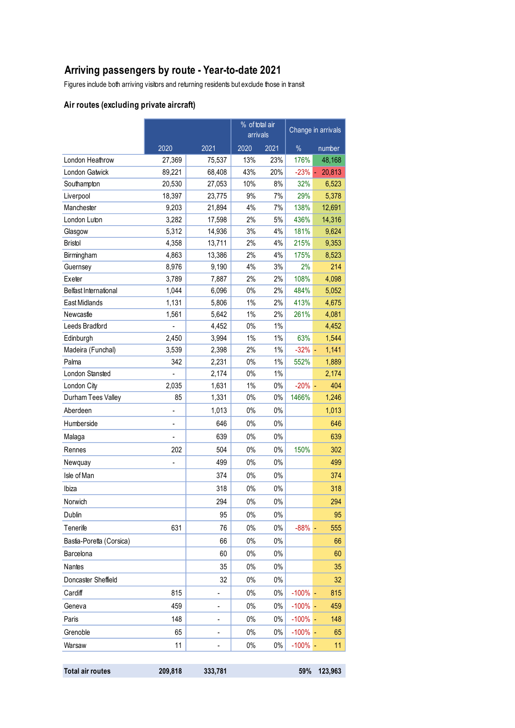# **Arriving passengers by route - Year-to-date 2021**

Figures include both arriving visitors and returning residents but exclude those in transit

## **Air routes (excluding private aircraft)**

|                          |                | % of total air<br>arrivals |       |       | Change in arrivals |              |
|--------------------------|----------------|----------------------------|-------|-------|--------------------|--------------|
|                          | 2020           | 2021                       | 2020  | 2021  | $\%$               | number       |
| London Heathrow          | 27,369         | 75,537                     | 13%   | 23%   | 176%               | 48,168       |
| London Gatwick           | 89,221         | 68,408                     | 43%   | 20%   | $-23%$             | 20,813<br>ä, |
| Southampton              | 20,530         | 27,053                     | 10%   | 8%    | 32%                | 6,523        |
| Liverpool                | 18,397         | 23,775                     | 9%    | 7%    | 29%                | 5,378        |
| Manchester               | 9,203          | 21,894                     | 4%    | 7%    | 138%               | 12,691       |
| London Luton             | 3,282          | 17,598                     | 2%    | 5%    | 436%               | 14,316       |
| Glasgow                  | 5,312          | 14,936                     | 3%    | 4%    | 181%               | 9,624        |
| <b>Bristol</b>           | 4,358          | 13,711                     | 2%    | 4%    | 215%               | 9,353        |
| Birmingham               | 4,863          | 13,386                     | 2%    | 4%    | 175%               | 8,523        |
| Guernsey                 | 8,976          | 9,190                      | 4%    | 3%    | 2%                 | 214          |
| Exeter                   | 3,789          | 7,887                      | 2%    | 2%    | 108%               | 4,098        |
| Belfast International    | 1,044          | 6,096                      | 0%    | 2%    | 484%               | 5,052        |
| East Midlands            | 1,131          | 5,806                      | 1%    | 2%    | 413%               | 4,675        |
| Newcastle                | 1,561          | 5,642                      | 1%    | 2%    | 261%               | 4,081        |
| Leeds Bradford           |                | 4,452                      | $0\%$ | $1\%$ |                    | 4,452        |
| Edinburgh                | 2,450          | 3,994                      | $1\%$ | $1\%$ | 63%                | 1,544        |
| Madeira (Funchal)        | 3,539          | 2,398                      | 2%    | $1\%$ | $-32\%$ -          | 1,141        |
| Palma                    | 342            | 2,231                      | $0\%$ | $1\%$ | 552%               | 1,889        |
| London Stansted          |                | 2,174                      | 0%    | 1%    |                    | 2,174        |
| London City              | 2,035          | 1,631                      | 1%    | $0\%$ | $-20%$             | 404          |
| Durham Tees Valley       | 85             | 1,331                      | 0%    | 0%    | 1466%              | 1,246        |
| Aberdeen                 |                | 1,013                      | $0\%$ | $0\%$ |                    | 1,013        |
| Humberside               | L,             | 646                        | $0\%$ | 0%    |                    | 646          |
| Malaga                   | $\blacksquare$ | 639                        | 0%    | 0%    |                    | 639          |
| Rennes                   | 202            | 504                        | 0%    | 0%    | 150%               | 302          |
| Newquay                  | $\overline{a}$ | 499                        | $0\%$ | 0%    |                    | 499          |
| Isle of Man              |                | 374                        | 0%    | 0%    |                    | 374          |
| Ibiza                    |                | 318                        | 0%    | 0%    |                    | 318          |
| Norwich                  |                | 294                        | 0%    | $0\%$ |                    | 294          |
| Dublin                   |                | 95                         | 0%    | $0\%$ |                    | 95           |
| Tenerife                 | 631            | 76                         | $0\%$ | $0\%$ | $-88%$             | 555          |
| Bastia-Poretta (Corsica) |                | 66                         | 0%    | $0\%$ |                    | 66           |
| Barcelona                |                | 60                         | $0\%$ | $0\%$ |                    | 60           |
| Nantes                   |                | 35                         | $0\%$ | $0\%$ |                    | 35           |
| Doncaster Sheffield      |                | 32                         | $0\%$ | $0\%$ |                    | 32           |
| Cardiff                  | 815            |                            | $0\%$ | $0\%$ | $-100%$            | 815          |
| Geneva                   | 459            | -                          | $0\%$ | $0\%$ | $-100%$            | 459          |
| Paris                    | 148            |                            | $0\%$ | $0\%$ | $-100%$            | 148          |
| Grenoble                 | 65             | -                          | 0%    | 0%    | -100%              | 65           |
| Warsaw                   | 11             |                            | $0\%$ | $0\%$ | $-100%$            | 11           |
|                          |                |                            |       |       |                    |              |
| <b>Total air routes</b>  | 209,818        | 333,781                    |       |       | 59%                | 123,963      |